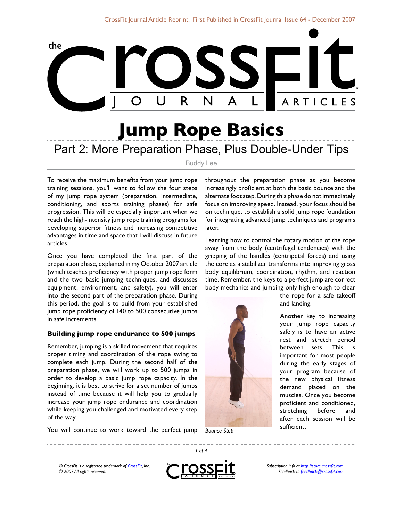

# **Jump Rope Basics** Part 2: More Preparation Phase, Plus Double-Under Tips

Buddy Lee

To receive the maximum benefits from your jump rope training sessions, you'll want to follow the four steps of my jump rope system (preparation, intermediate, conditioning, and sports training phases) for safe progression. This will be especially important when we reach the high-intensity jump rope training programs for developing superior fitness and increasing competitive advantages in time and space that I will discuss in future articles.

Once you have completed the first part of the preparation phase, explained in my October 2007 article (which teaches proficiency with proper jump rope form and the two basic jumping techniques, and discusses equipment, environment, and safety), you will enter into the second part of the preparation phase. During this period, the goal is to build from your established jump rope proficiency of 140 to 500 consecutive jumps in safe increments.

## **Building jump rope endurance to 500 jumps**

Remember, jumping is a skilled movement that requires proper timing and coordination of the rope swing to complete each jump. During the second half of the preparation phase, we will work up to 500 jumps in order to develop a basic jump rope capacity. In the beginning, it is best to strive for a set number of jumps instead of time because it will help you to gradually increase your jump rope endurance and coordination while keeping you challenged and motivated every step of the way.

throughout the preparation phase as you become increasingly proficient at both the basic bounce and the alternate foot step. During this phase do not immediately focus on improving speed. Instead, your focus should be on technique, to establish a solid jump rope foundation for integrating advanced jump techniques and programs later.

Learning how to control the rotary motion of the rope away from the body (centrifugal tendencies) with the gripping of the handles (centripetal forces) and using the core as a stabilizer transforms into improving gross body equilibrium, coordination, rhythm, and reaction time. Remember, the keys to a perfect jump are correct body mechanics and jumping only high enough to clear



the rope for a safe takeoff and landing.

Another key to increasing your jump rope capacity safely is to have an active rest and stretch period between sets. This is important for most people during the early stages of your program because of the new physical fitness demand placed on the muscles. Once you become proficient and conditioned, stretching before and after each session will be

You will continue to work toward the perfect jump

*® CrossFit is a registered trademark of [CrossFit,](http://www.crossfit.com) Inc. © 2007 All rights reserved.*



 *of 4*

*Subscription info at [http://store.crossfit.com](http://journal.crossfit.com) Feedback to [feedback@crossfit.com](mailto:feedback@crossfit.com)*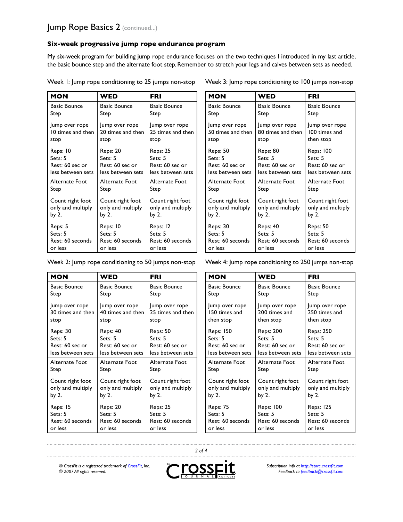# **Six-week progressive jump rope endurance program**

My six-week program for building jump rope endurance focuses on the two techniques I introduced in my last article, the basic bounce step and the alternate foot step. Remember to stretch your legs and calves between sets as needed.

| <b>MON</b>          | WED                 | <b>FRI</b>          |
|---------------------|---------------------|---------------------|
| <b>Basic Bounce</b> | <b>Basic Bounce</b> | <b>Basic Bounce</b> |
| Step                | Step                | Step                |
| Jump over rope      | Jump over rope      | Jump over rope      |
| 10 times and then   | 20 times and then   | 25 times and then   |
| stop                | stop                | stop                |
| Reps: 10            | Reps: 20            | <b>Reps: 25</b>     |
| Sets: 5             | Sets: 5             | Sets: 5             |
| Rest: 60 sec or     | Rest: 60 sec or     | Rest: 60 sec or     |
| less between sets   | less between sets   | less between sets   |
| Alternate Foot      | Alternate Foot      | Alternate Foot      |
| Step                | Step                | Step                |
| Count right foot    | Count right foot    | Count right foot    |
| only and multiply   | only and multiply   | only and multiply   |
| by 2.               | by 2.               | by 2.               |
| Reps: 5             | Reps: 10            | Reps: 12            |
| Sets: 5             | Sets: 5             | Sets: 5             |
| Rest: 60 seconds    | Rest: 60 seconds    | Rest: 60 seconds    |
| or less             | or less             | or less             |

Week 1: Jump rope conditioning to 25 jumps non-stop

| MON                 | WED                 | <b>FRI</b>          |  |
|---------------------|---------------------|---------------------|--|
| <b>Basic Bounce</b> | <b>Basic Bounce</b> | <b>Basic Bounce</b> |  |
| Step                | Step                | Step                |  |
| Jump over rope      | Jump over rope      | Jump over rope      |  |
| 50 times and then   | 80 times and then   | 100 times and       |  |
| stop                | stop                | then stop           |  |
| <b>Reps: 50</b>     | Reps: 80            | <b>Reps: 100</b>    |  |
| Sets: 5             | Sets: 5             | Sets: 5             |  |
| Rest: 60 sec or     | Rest: 60 sec or     | Rest: 60 sec or     |  |
| less between sets   | less between sets   | less between sets   |  |
| Alternate Foot      | Alternate Foot      | Alternate Foot      |  |
| Step                | Step                | Step                |  |
| Count right foot    | Count right foot    | Count right foot    |  |
| only and multiply   | only and multiply   | only and multiply   |  |
| by 2.               | by 2.               | by 2.               |  |
| Reps: 30            | Reps: 40            | <b>Reps: 50</b>     |  |
| Sets: 5             | Sets: 5             | Sets: 5             |  |
| Rest: 60 seconds    | Rest: 60 seconds    | Rest: 60 seconds    |  |
| or less             | or less             | or less             |  |

| Veek 2: Jump rope conditioning to 50 jumps non-stop |                     | Week 4: Jump rope conditioning to 250 jumps non-stop |                     |                     |                     |
|-----------------------------------------------------|---------------------|------------------------------------------------------|---------------------|---------------------|---------------------|
| <b>MON</b>                                          | <b>WED</b>          | <b>FRI</b>                                           | <b>MON</b>          | <b>WED</b>          | <b>FRI</b>          |
| <b>Basic Bounce</b>                                 | <b>Basic Bounce</b> | <b>Basic Bounce</b>                                  | <b>Basic Bounce</b> | <b>Basic Bounce</b> | <b>Basic Bounce</b> |
| Step                                                | Step                | Step                                                 | Step                | Step                | Step                |
| Jump over rope                                      | Jump over rope      | Jump over rope                                       | Jump over rope      | ump over rope       | Jump over rope      |
| 30 times and then                                   | 40 times and then   | 25 times and then                                    | 150 times and       | 200 times and       | 250 times and       |
| stop                                                | stop                | stop                                                 | then stop           | then stop           | then stop           |
| <b>Reps: 30</b>                                     | Reps: 40            | <b>Reps: 50</b>                                      | <b>Reps: 150</b>    | Reps: 200           | <b>Reps: 250</b>    |
| Sets: 5                                             | Sets: 5             | Sets: 5                                              | Sets: 5             | Sets: 5             | Sets: 5             |
| Rest: 60 sec or                                     | Rest: 60 sec or     | Rest: 60 sec or                                      | Rest: 60 sec or     | Rest: 60 sec or     | Rest: 60 sec or     |
| less between sets                                   | less between sets   | less between sets                                    | less between sets   | less between sets   | less between sets   |
| Alternate Foot                                      | Alternate Foot      | Alternate Foot                                       | Alternate Foot      | Alternate Foot      | Alternate Foot      |
| Step                                                | Step                | Step                                                 | Step                | Step                | Step                |
| Count right foot                                    | Count right foot    | Count right foot                                     | Count right foot    | Count right foot    | Count right foot    |
| only and multiply                                   | only and multiply   | only and multiply                                    | only and multiply   | only and multiply   | only and multiply   |
| by 2.                                               | by 2.               | by 2.                                                | by 2.               | by $2.$             | by $2.$             |
| Reps: 15                                            | Reps: 20            | <b>Reps: 25</b>                                      | <b>Reps: 75</b>     | <b>Reps: 100</b>    | <b>Reps: 125</b>    |
| Sets: 5                                             | Sets: 5             | Sets: 5                                              | Sets: 5             | Sets: 5             | Sets: 5             |
| Rest: 60 seconds                                    | Rest: 60 seconds    | Rest: 60 seconds                                     | Rest: 60 seconds    | Rest: 60 seconds    | Rest: 60 seconds    |
| or less                                             | or less             | or less                                              | or less             | or less             | or less             |

*® CrossFit is a registered trademark of [CrossFit,](http://www.crossfit.com) Inc. © 2007 All rights reserved.*



 *of 4*

*Subscription info at [http://store.crossfit.com](http://journal.crossfit.com) Feedback to [feedback@crossfit.com](mailto:feedback@crossfit.com)*

. . . . . . . . . . . . . . . . . . .

Week 3: Jump rope conditioning to 100 jumps non-stop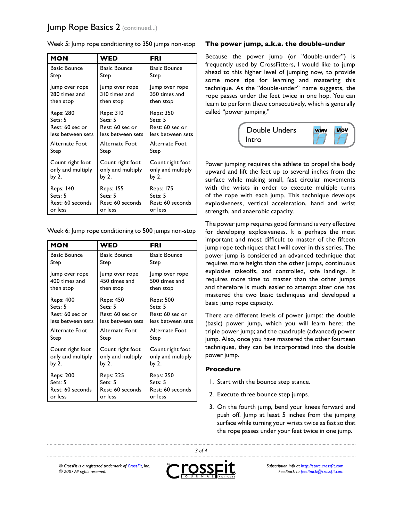# Jump Rope Basics 2 (continued...)

| <b>MON</b>          | WED                 | FRI                 |
|---------------------|---------------------|---------------------|
| <b>Basic Bounce</b> | <b>Basic Bounce</b> | <b>Basic Bounce</b> |
| Step                | Step                | Step                |
| Jump over rope      | Jump over rope      | Jump over rope      |
| 280 times and       | 310 times and       | 350 times and       |
| then stop           | then stop           | then stop           |
| Reps: 280           | <b>Reps: 310</b>    | <b>Reps: 350</b>    |
| Sets: 5             | Sets: 5             | Sets: 5             |
| Rest: 60 sec or     | Rest: 60 sec or     | Rest: 60 sec or     |
| less between sets   | less between sets   | less between sets   |
| Alternate Foot      | Alternate Foot      | Alternate Foot      |
| Step                | Step                | Step                |
| Count right foot    | Count right foot    | Count right foot    |
| only and multiply   | only and multiply   | only and multiply   |
| by 2.               | by 2.               | by 2.               |
| <b>Reps: 140</b>    | Reps: 155           | <b>Reps: 175</b>    |
| Sets: 5             | Sets: 5             | Sets: 5             |
| Rest: 60 seconds    | Rest: 60 seconds    | Rest: 60 seconds    |
| or less             | or less             | or less             |

Week 5: Jump rope conditioning to 350 jumps non-stop

Week 6: Jump rope conditioning to 500 jumps non-stop

| <b>MON</b>          | WED               | <b>FRI</b>          |
|---------------------|-------------------|---------------------|
| <b>Basic Bounce</b> | Basic Bounce      | <b>Basic Bounce</b> |
| Step                | Step              | Step                |
| Jump over rope      | Jump over rope    | Jump over rope      |
| 400 times and       | 450 times and     | 500 times and       |
| then stop           | then stop         | then stop           |
| Reps: 400           | Reps: 450         | Reps: 500           |
| Sets: 5             | Sets: 5           | Sets: 5             |
| Rest: 60 sec or     | Rest: 60 sec or   | Rest: 60 sec or     |
| less between sets   | less between sets | less between sets   |
| Alternate Foot      | Alternate Foot    | Alternate Foot      |
| Step                | Step              | Step                |
| Count right foot    | Count right foot  | Count right foot    |
| only and multiply   | only and multiply | only and multiply   |
| by 2.               | by 2.             | by 2.               |
| Reps: 200           | Reps: 225         | Reps: 250           |
| Sets: 5             | Sets: 5           | Sets: 5             |
| Rest: 60 seconds    | Rest: 60 seconds  | Rest: 60 seconds    |
| or less             | or less           | or less             |

#### **The power jump, a.k.a. the double-under**

Because the power jump (or "double-under") is frequently used by CrossFitters, I would like to jump ahead to this higher level of jumping now, to provide some more tips for learning and mastering this technique. As the "double-under" name suggests, the rope passes under the feet twice in one hop. You can learn to perform these consecutively, which is generally called "power jumping."



Power jumping requires the athlete to propel the body upward and lift the feet up to several inches from the surface while making small, fast circular movements with the wrists in order to execute multiple turns of the rope with each jump. This technique develops explosiveness, vertical acceleration, hand and wrist strength, and anaerobic capacity.

The power jump requires good form and is very effective for developing explosiveness. It is perhaps the most important and most difficult to master of the fifteen jump rope techniques that I will cover in this series. The power jump is considered an advanced technique that requires more height than the other jumps, continuous explosive takeoffs, and controlled, safe landings. It requires more time to master than the other jumps and therefore is much easier to attempt after one has mastered the two basic techniques and developed a basic jump rope capacity.

There are different levels of power jumps: the double (basic) power jump, which you will learn here; the triple power jump; and the quadruple (advanced) power jump. Also, once you have mastered the other fourteen techniques, they can be incorporated into the double power jump.

# **Procedure**

- I. Start with the bounce step stance.
- 2. Execute three bounce step jumps.
- 3. On the fourth jump, bend your knees forward and push off. Jump at least 5 inches from the jumping surface while turning your wrists twice as fast so that the rope passes under your feet twice in one jump.

*® CrossFit is a registered trademark of [CrossFit,](http://www.crossfit.com) Inc. © 2007 All rights reserved.*



 *of 4*

*Subscription info at [http://store.crossfit.com](http://journal.crossfit.com) Feedback to [feedback@crossfit.com](mailto:feedback@crossfit.com)*